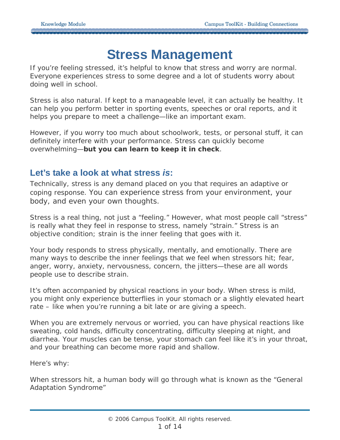## **Stress Management**

If you're feeling stressed, it's helpful to know that stress and worry are *normal*. Everyone experiences stress to some degree and a lot of students worry about doing well in school.

Stress is also natural. If kept to a manageable level, it can actually be healthy. It can help you perform better in sporting events, speeches or oral reports, and it helps you prepare to meet a challenge—like an important exam.

However, if you worry *too much* about schoolwork, tests, or personal stuff, it can definitely interfere with your performance. Stress can quickly become overwhelming—**but you can learn to keep it in check**.

## **Let's take a look at what stress** *is***:**

Technically, stress is any demand placed on you that requires an adaptive or coping response. You can experience stress from your environment, your body, and even your own thoughts.

Stress is a *real thing*, not just a "feeling." However, what most people call "stress" is really what they feel in response to stress, namely "strain." Stress is an objective condition; strain is the inner feeling that goes with it.

Your body responds to stress physically, mentally, and emotionally. There are many ways to describe the inner feelings that we feel when stressors hit; fear, anger, worry, anxiety, nervousness, concern, the jitters—these are all words people use to describe strain.

It's often accompanied by physical reactions in your body. When stress is mild, you might only experience butterflies in your stomach or a slightly elevated heart rate – like when you're running a bit late or are giving a speech.

When you are extremely nervous or worried, you can have physical reactions like sweating, cold hands, difficulty concentrating, difficulty sleeping at night, and diarrhea. Your muscles can be tense, your stomach can feel like it's in your throat, and your breathing can become more rapid and shallow.

Here's why:

When stressors hit, a human body will go through what is known as the "General Adaptation Syndrome"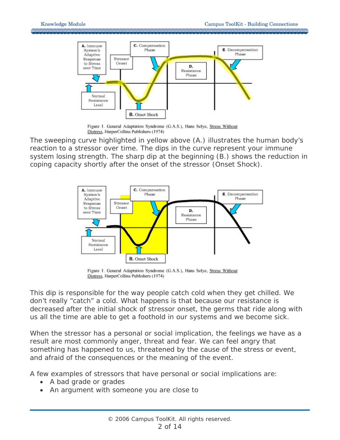

Figure 1. General Adaptation Syndrome (G.A.S.), Hans Selye, Stress Without Distress, HarperCollins Publishers (1974)

The sweeping curve highlighted in yellow above (A.) illustrates the human body's reaction to a stressor over time. The dips in the curve represent your immune system losing strength. The sharp dip at the beginning (B.) shows the reduction in coping capacity shortly after the onset of the stressor (Onset Shock).



Figure 1. General Adaptation Syndrome (G.A.S.), Hans Selye, Stress Without Distress, HarperCollins Publishers (1974)

This dip is responsible for the way people catch cold when they get chilled. We don't really "catch" a cold. What happens is that because our resistance is decreased after the initial shock of stressor onset, the germs that ride along with us all the time are able to get a foothold in our systems and we become sick.

When the stressor has a personal or social implication, the feelings we have as a result are most commonly anger, threat and fear. We can feel angry that something has happened to us, threatened by the cause of the stress or event, and afraid of the consequences or the meaning of the event.

A few examples of stressors that have personal or social implications are:

- A bad grade or grades
- An argument with someone you are close to